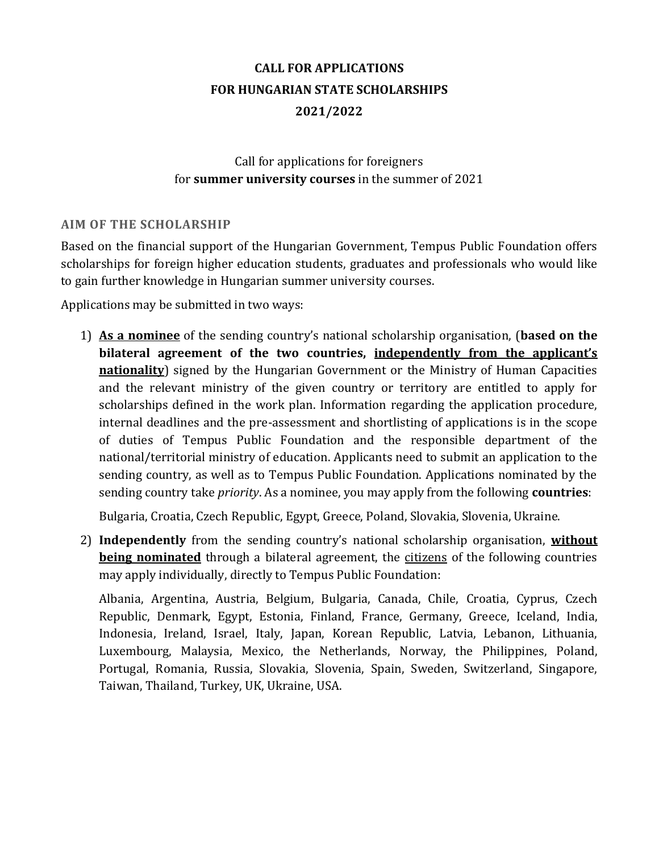# **CALL FOR APPLICATIONS FOR HUNGARIAN STATE SCHOLARSHIPS 2021/2022**

## Call for applications for foreigners for **summer university courses** in the summer of 2021

## **AIM OF THE SCHOLARSHIP**

Based on the financial support of the Hungarian Government, Tempus Public Foundation offers scholarships for foreign higher education students, graduates and professionals who would like to gain further knowledge in Hungarian summer university courses.

Applications may be submitted in two ways:

1) **As a nominee** of the sending country's national scholarship organisation, (**based on the bilateral agreement of the two countries, independently from the applicant's nationality**) signed by the Hungarian Government or the Ministry of Human Capacities and the relevant ministry of the given country or territory are entitled to apply for scholarships defined in the work plan. Information regarding the application procedure, internal deadlines and the pre-assessment and shortlisting of applications is in the scope of duties of Tempus Public Foundation and the responsible department of the national/territorial ministry of education. Applicants need to submit an application to the sending country, as well as to Tempus Public Foundation. Applications nominated by the sending country take *priority*. As a nominee, you may apply from the following **countries**:

Bulgaria, Croatia, Czech Republic, Egypt, Greece, Poland, Slovakia, Slovenia, Ukraine.

2) **Independently** from the sending country's national scholarship organisation, **without being nominated** through a bilateral agreement, the citizens of the following countries may apply individually, directly to Tempus Public Foundation:

Albania, Argentina, Austria, Belgium, Bulgaria, Canada, Chile, Croatia, Cyprus, Czech Republic, Denmark, Egypt, Estonia, Finland, France, Germany, Greece, Iceland, India, Indonesia, Ireland, Israel, Italy, Japan, Korean Republic, Latvia, Lebanon, Lithuania, Luxembourg, Malaysia, Mexico, the Netherlands, Norway, the Philippines, Poland, Portugal, Romania, Russia, Slovakia, Slovenia, Spain, Sweden, Switzerland, Singapore, Taiwan, Thailand, Turkey, UK, Ukraine, USA.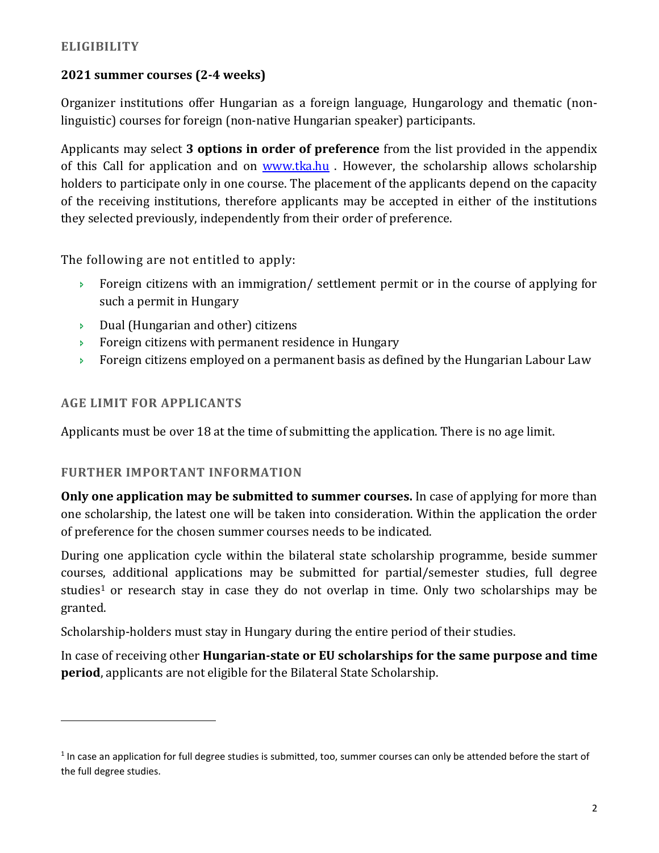## **2021 summer courses (2-4 weeks)**

Organizer institutions offer Hungarian as a foreign language, Hungarology and thematic (nonlinguistic) courses for foreign (non-native Hungarian speaker) participants.

Applicants may select **3 options in order of preference** from the list provided in the appendix of this Call for application and on [www.tka.hu](http://www.tka.hu/) . However, the scholarship allows scholarship holders to participate only in one course. The placement of the applicants depend on the capacity of the receiving institutions, therefore applicants may be accepted in either of the institutions they selected previously, independently from their order of preference.

The following are not entitled to apply:

- **Foreign citizens with an immigration/ settlement permit or in the course of applying for** such a permit in Hungary
- $\triangleright$  Dual (Hungarian and other) citizens
- **Foreign citizens with permanent residence in Hungary**
- Foreign citizens employed on a permanent basis as defined by the Hungarian Labour Law

## **AGE LIMIT FOR APPLICANTS**

 $\overline{a}$ 

Applicants must be over 18 at the time of submitting the application. There is no age limit.

## **FURTHER IMPORTANT INFORMATION**

**Only one application may be submitted to summer courses.** In case of applying for more than one scholarship, the latest one will be taken into consideration. Within the application the order of preference for the chosen summer courses needs to be indicated.

During one application cycle within the bilateral state scholarship programme, beside summer courses, additional applications may be submitted for partial/semester studies, full degree studies<sup>1</sup> or research stay in case they do not overlap in time. Only two scholarships may be granted.

Scholarship-holders must stay in Hungary during the entire period of their studies.

In case of receiving other **Hungarian-state or EU scholarships for the same purpose and time period**, applicants are not eligible for the Bilateral State Scholarship.

 $1$  In case an application for full degree studies is submitted, too, summer courses can only be attended before the start of the full degree studies.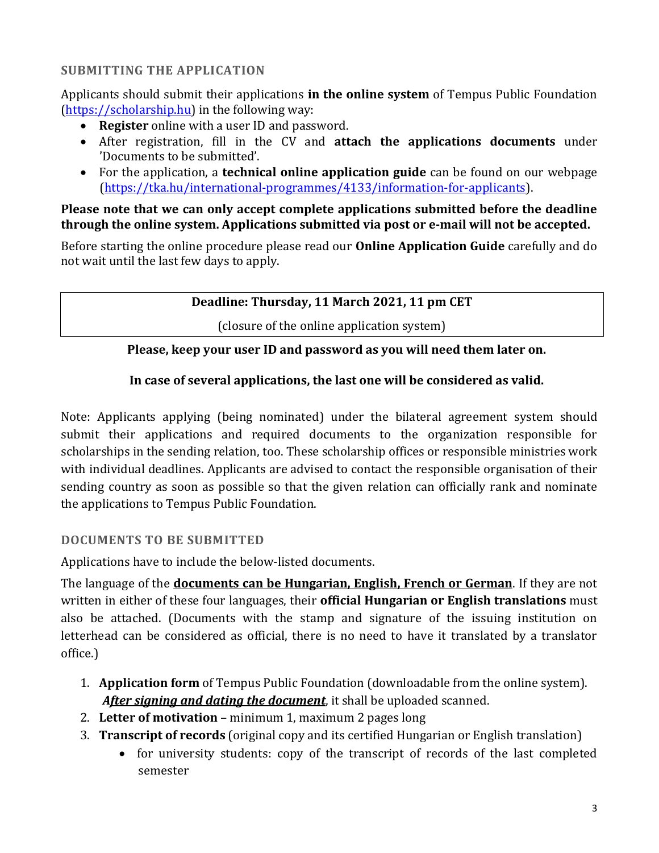## **SUBMITTING THE APPLICATION**

Applicants should submit their applications **in the online system** of Tempus Public Foundation [\(https://scholarship.hu\)](http://www.scholarship.hu/) in the following way:

- **Register** online with a user ID and password.
- After registration, fill in the CV and **attach the applications documents** under 'Documents to be submitted'.
- For the application, a **technical online application guide** can be found on our webpage [\(https://tka.hu/international-programmes/4133/information-for-applicants\)](https://tka.hu/international-programmes/4133/information-for-applicants).

### **Please note that we can only accept complete applications submitted before the deadline through the online system. Applications submitted via post or e-mail will not be accepted.**

Before starting the online procedure please read our **Online Application Guide** carefully and do not wait until the last few days to apply.

## **Deadline: Thursday, 11 March 2021, 11 pm CET**

(closure of the online application system)

## **Please, keep your user ID and password as you will need them later on.**

## **In case of several applications, the last one will be considered as valid.**

Note: Applicants applying (being nominated) under the bilateral agreement system should submit their applications and required documents to the organization responsible for scholarships in the sending relation, too. These scholarship offices or responsible ministries work with individual deadlines. Applicants are advised to contact the responsible organisation of their sending country as soon as possible so that the given relation can officially rank and nominate the applications to Tempus Public Foundation.

## **DOCUMENTS TO BE SUBMITTED**

Applications have to include the below-listed documents.

The language of the **documents can be Hungarian, English, French or German**. If they are not written in either of these four languages, their **official Hungarian or English translations** must also be attached. (Documents with the stamp and signature of the issuing institution on letterhead can be considered as official, there is no need to have it translated by a translator office.)

- 1. **Application form** of Tempus Public Foundation (downloadable from the online system). *After signing and dating the document*, it shall be uploaded scanned.
- 2. **Letter of motivation** minimum 1, maximum 2 pages long
- 3. **Transcript of records** (original copy and its certified Hungarian or English translation)
	- for university students: copy of the transcript of records of the last completed semester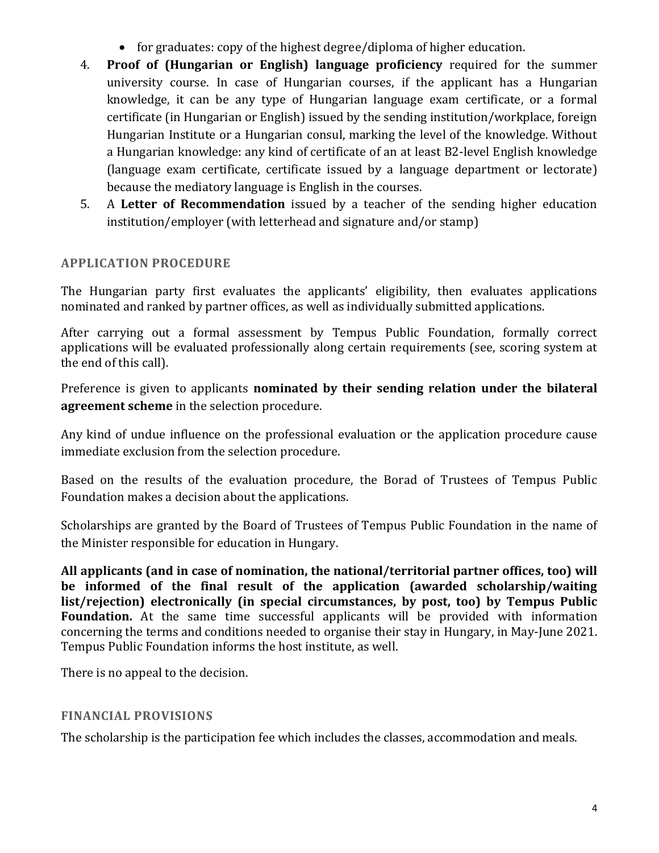- for graduates: copy of the highest degree/diploma of higher education.
- 4. **Proof of (Hungarian or English) language proficiency** required for the summer university course. In case of Hungarian courses, if the applicant has a Hungarian knowledge, it can be any type of Hungarian language exam certificate, or a formal certificate (in Hungarian or English) issued by the sending institution/workplace, foreign Hungarian Institute or a Hungarian consul, marking the level of the knowledge. Without a Hungarian knowledge: any kind of certificate of an at least B2-level English knowledge (language exam certificate, certificate issued by a language department or lectorate) because the mediatory language is English in the courses.
- 5. A **Letter of Recommendation** issued by a teacher of the sending higher education institution/employer (with letterhead and signature and/or stamp)

## **APPLICATION PROCEDURE**

The Hungarian party first evaluates the applicants' eligibility, then evaluates applications nominated and ranked by partner offices, as well as individually submitted applications.

After carrying out a formal assessment by Tempus Public Foundation, formally correct applications will be evaluated professionally along certain requirements (see, scoring system at the end of this call).

Preference is given to applicants **nominated by their sending relation under the bilateral agreement scheme** in the selection procedure.

Any kind of undue influence on the professional evaluation or the application procedure cause immediate exclusion from the selection procedure.

Based on the results of the evaluation procedure, the Borad of Trustees of Tempus Public Foundation makes a decision about the applications.

Scholarships are granted by the Board of Trustees of Tempus Public Foundation in the name of the Minister responsible for education in Hungary.

**All applicants (and in case of nomination, the national/territorial partner offices, too) will be informed of the final result of the application (awarded scholarship/waiting list/rejection) electronically (in special circumstances, by post, too) by Tempus Public Foundation.** At the same time successful applicants will be provided with information concerning the terms and conditions needed to organise their stay in Hungary, in May-June 2021. Tempus Public Foundation informs the host institute, as well.

There is no appeal to the decision.

#### **FINANCIAL PROVISIONS**

The scholarship is the participation fee which includes the classes, accommodation and meals.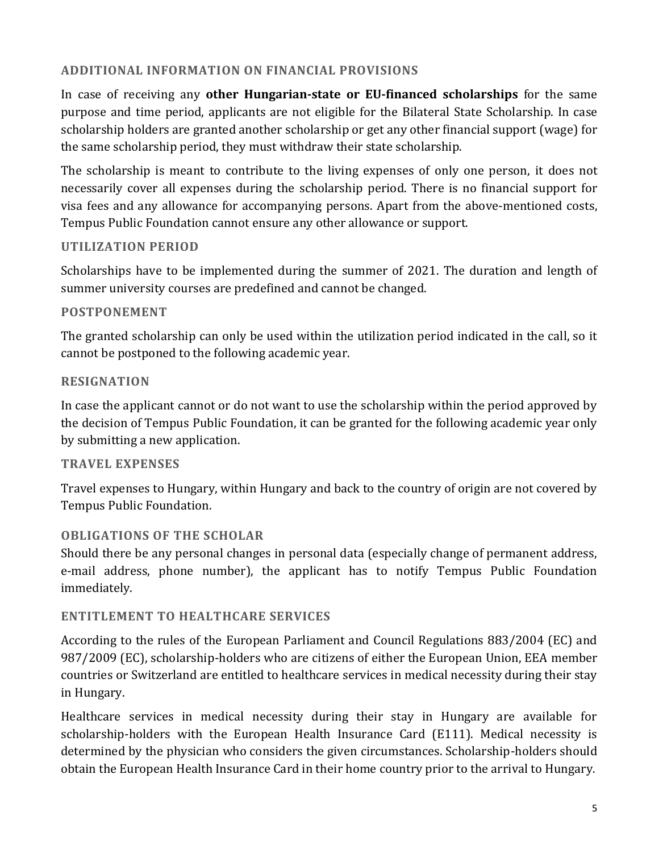## **ADDITIONAL INFORMATION ON FINANCIAL PROVISIONS**

In case of receiving any **other Hungarian-state or EU-financed scholarships** for the same purpose and time period, applicants are not eligible for the Bilateral State Scholarship. In case scholarship holders are granted another scholarship or get any other financial support (wage) for the same scholarship period, they must withdraw their state scholarship.

The scholarship is meant to contribute to the living expenses of only one person, it does not necessarily cover all expenses during the scholarship period. There is no financial support for visa fees and any allowance for accompanying persons. Apart from the above-mentioned costs, Tempus Public Foundation cannot ensure any other allowance or support.

#### **UTILIZATION PERIOD**

Scholarships have to be implemented during the summer of 2021. The duration and length of summer university courses are predefined and cannot be changed.

#### **POSTPONEMENT**

The granted scholarship can only be used within the utilization period indicated in the call, so it cannot be postponed to the following academic year.

#### **RESIGNATION**

In case the applicant cannot or do not want to use the scholarship within the period approved by the decision of Tempus Public Foundation, it can be granted for the following academic year only by submitting a new application.

#### **TRAVEL EXPENSES**

Travel expenses to Hungary, within Hungary and back to the country of origin are not covered by Tempus Public Foundation.

## **OBLIGATIONS OF THE SCHOLAR**

Should there be any personal changes in personal data (especially change of permanent address, e-mail address, phone number), the applicant has to notify Tempus Public Foundation immediately.

#### **ENTITLEMENT TO HEALTHCARE SERVICES**

According to the rules of the European Parliament and Council Regulations 883/2004 (EC) and 987/2009 (EC), scholarship-holders who are citizens of either the European Union, EEA member countries or Switzerland are entitled to healthcare services in medical necessity during their stay in Hungary.

Healthcare services in medical necessity during their stay in Hungary are available for scholarship-holders with the European Health Insurance Card (E111). Medical necessity is determined by the physician who considers the given circumstances. Scholarship-holders should obtain the European Health Insurance Card in their home country prior to the arrival to Hungary.